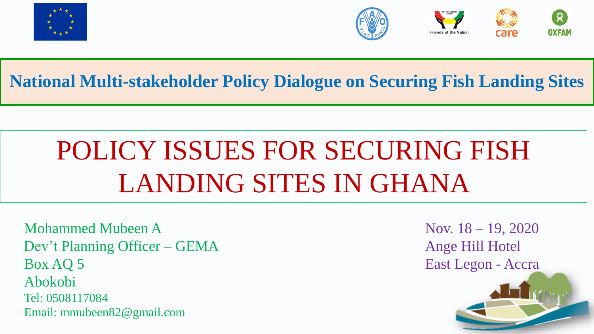





**National Multi-stakeholder Policy Dialogue on Securing Fish Landing Sites**

# POLICY ISSUES FOR SECURING FISH LANDING SITES IN GHANA

Mohammed Mubeen A Nov. 18 – 19, 2020 Dev't Planning Officer – GEMA Ange Hill Hotel Box AQ 5 East Legon - Accra Abokobi Tel: 0508117084 Email: mmubeen82@gmail.com

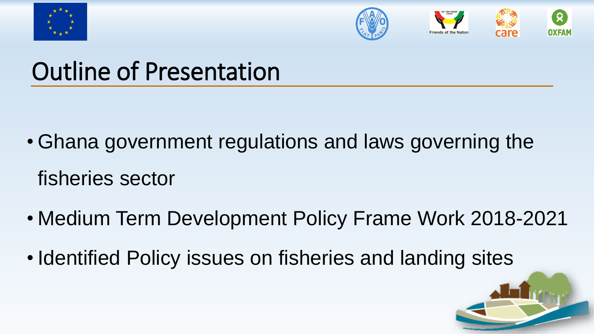





- Ghana government regulations and laws governing the fisheries sector
- Medium Term Development Policy Frame Work 2018-2021
- Identified Policy issues on fisheries and landing sites

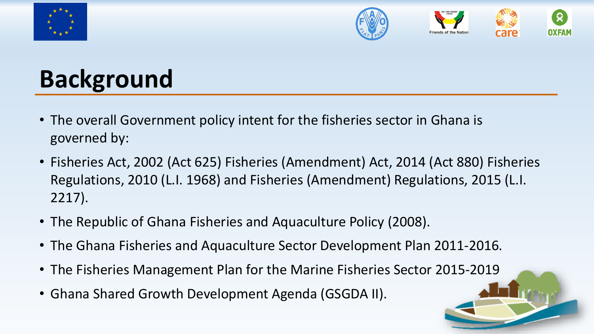



## **Background**

- The overall Government policy intent for the fisheries sector in Ghana is governed by:
- Fisheries Act, 2002 (Act 625) Fisheries (Amendment) Act, 2014 (Act 880) Fisheries Regulations, 2010 (L.I. 1968) and Fisheries (Amendment) Regulations, 2015 (L.I. 2217).
- The Republic of Ghana Fisheries and Aquaculture Policy (2008).
- The Ghana Fisheries and Aquaculture Sector Development Plan 2011-2016.
- The Fisheries Management Plan for the Marine Fisheries Sector 2015-2019
- Ghana Shared Growth Development Agenda (GSGDA II).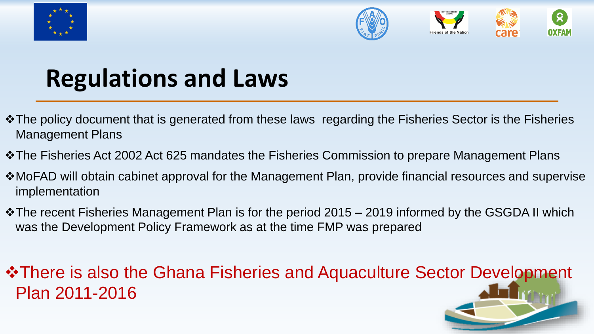



## **Regulations and Laws**

- ❖The policy document that is generated from these laws regarding the Fisheries Sector is the Fisheries Management Plans
- ❖The Fisheries Act 2002 Act 625 mandates the Fisheries Commission to prepare Management Plans
- ❖MoFAD will obtain cabinet approval for the Management Plan, provide financial resources and supervise implementation
- ❖The recent Fisheries Management Plan is for the period 2015 2019 informed by the GSGDA II which was the Development Policy Framework as at the time FMP was prepared

#### ❖There is also the Ghana Fisheries and Aquaculture Sector Development Plan 2011-2016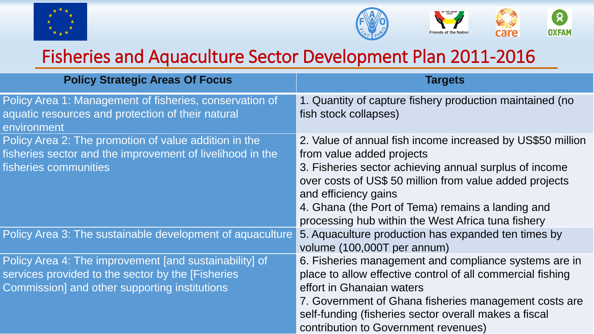



### Fisheries and Aquaculture Sector Development Plan 2011-2016

| <b>Policy Strategic Areas Of Focus</b>                                                                                                                        | <b>Targets</b>                                                                                                                                                                                                                                                                                                                                  |
|---------------------------------------------------------------------------------------------------------------------------------------------------------------|-------------------------------------------------------------------------------------------------------------------------------------------------------------------------------------------------------------------------------------------------------------------------------------------------------------------------------------------------|
| Policy Area 1: Management of fisheries, conservation of<br>aquatic resources and protection of their natural<br>environment                                   | 1. Quantity of capture fishery production maintained (no<br>fish stock collapses)                                                                                                                                                                                                                                                               |
| Policy Area 2: The promotion of value addition in the<br>fisheries sector and the improvement of livelihood in the<br>fisheries communities                   | 2. Value of annual fish income increased by US\$50 million<br>from value added projects<br>3. Fisheries sector achieving annual surplus of income<br>over costs of US\$ 50 million from value added projects<br>and efficiency gains<br>4. Ghana (the Port of Tema) remains a landing and<br>processing hub within the West Africa tuna fishery |
| Policy Area 3: The sustainable development of aquaculture                                                                                                     | 5. Aquaculture production has expanded ten times by<br>volume (100,000T per annum)                                                                                                                                                                                                                                                              |
| Policy Area 4: The improvement [and sustainability] of<br>services provided to the sector by the [Fisheries]<br>Commission] and other supporting institutions | 6. Fisheries management and compliance systems are in<br>place to allow effective control of all commercial fishing<br>effort in Ghanaian waters<br>7. Government of Ghana fisheries management costs are<br>self-funding (fisheries sector overall makes a fiscal<br>contribution to Government revenues)                                      |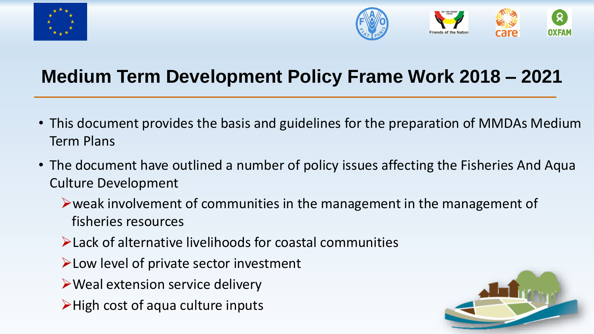



### **Medium Term Development Policy Frame Work 2018 – 2021**

- This document provides the basis and guidelines for the preparation of MMDAs Medium Term Plans
- The document have outlined a number of policy issues affecting the Fisheries And Aqua Culture Development
	- ➢weak involvement of communities in the management in the management of fisheries resources
	- ➢Lack of alternative livelihoods for coastal communities
	- ➢Low level of private sector investment
	- ➢Weal extension service delivery
	- ➢High cost of aqua culture inputs

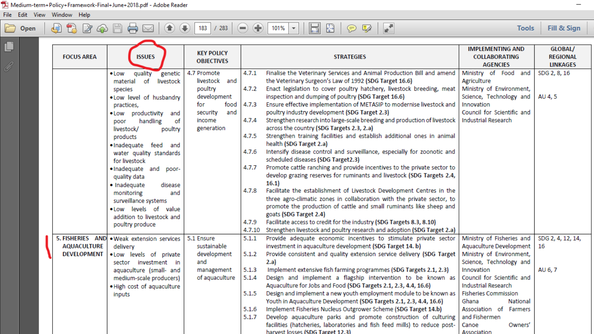File Edit View Window Help

μ

#### $\Box$ Open

 $|\blacksquare \boxtimes |\odot \triangledown |\blacktriangleright$  $101\%$   $\rightarrow$ 

Fill & Sign **Tools** 

| ⋍<br>q | <b>FOCUS AREA</b>                        | <b>ISSUES</b>                                                                                                                                                                                                                                                                                                                                                                                                                                                      | <b>KEY POLICY</b><br><b>OBJECTIVES</b>                                                                           |                                                                               | <b>STRATEGIES</b>                                                                                                                                                                                                                                                                                                                                                                                                                                                                                                                                                                                                                                                                                                                                                                                                                                                                                                                                                                                                                                                                                                                                                                                                                  | <b>IMPLEMENTING AND</b><br><b>COLLABORATING</b><br><b>AGENCIES</b>                                                                                                                        | GLOBAL/<br><b>REGIONAL</b><br><b>LINKAGES</b> |
|--------|------------------------------------------|--------------------------------------------------------------------------------------------------------------------------------------------------------------------------------------------------------------------------------------------------------------------------------------------------------------------------------------------------------------------------------------------------------------------------------------------------------------------|------------------------------------------------------------------------------------------------------------------|-------------------------------------------------------------------------------|------------------------------------------------------------------------------------------------------------------------------------------------------------------------------------------------------------------------------------------------------------------------------------------------------------------------------------------------------------------------------------------------------------------------------------------------------------------------------------------------------------------------------------------------------------------------------------------------------------------------------------------------------------------------------------------------------------------------------------------------------------------------------------------------------------------------------------------------------------------------------------------------------------------------------------------------------------------------------------------------------------------------------------------------------------------------------------------------------------------------------------------------------------------------------------------------------------------------------------|-------------------------------------------------------------------------------------------------------------------------------------------------------------------------------------------|-----------------------------------------------|
|        |                                          | quality<br>genetic<br>$\bullet$ Low<br>of<br>material<br>livestock<br>species<br>. Low level of husbandry<br>practices,<br>. Low productivity<br>and<br>of<br>handling<br>poor<br>livestock/<br>poultry<br>products<br>·Inadequate feed<br>and<br>water quality standards<br>for livestock<br>. Inadequate and poor-<br>quality data<br>· Inadequate<br>disease<br>monitoring<br>and<br>surveillance systems<br>. Low levels of value<br>addition to livestock and | 4.7 Promote<br>livestock and<br>poultry<br>development<br>for<br>food<br>and<br>security<br>income<br>generation | 4.7.1<br>4.7.2<br>4.7.3<br>4.7.4<br>4.7.5<br>4.7.6<br>4.7.7<br>4.7.8<br>4.7.9 | Finalise the Veterinary Services and Animal Production Bill and amend<br>the Veterinary Surgeon's Law of 1992 (SDG Target 16.6)<br>Enact legislation to cover poultry hatchery, livestock breeding, meat<br>inspection and dumping of poultry (SDG Target 16.6)<br>Ensure effective implementation of METASIP to modernise livestock and<br>poultry industry development (SDG Target 2.3)<br>Strengthen research into large-scale breeding and production of livestock<br>across the country (SDG Targets 2.3, 2.a)<br>Strengthen training facilities and establish additional ones in animal<br>health (SDG Target 2.a)<br>Intensify disease control and surveillance, especially for zoonotic and<br>scheduled diseases (SDG Target2.3)<br>Promote cattle ranching and provide incentives to the private sector to<br>develop grazing reserves for ruminants and livestock (SDG Targets 2.4,<br>16.1)<br>Facilitate the establishment of Livestock Development Centres in the<br>three agro-climatic zones in collaboration with the private sector, to<br>promote the production of cattle and small ruminants like sheep and<br>goats (SDG Target 2.4)<br>Facilitate access to credit for the industry (SDG Targets 8.3, 8.10) | Ministry of Food and<br>Agriculture<br>Ministry of Environment,<br>Science, Technology and<br>Innovation<br>Council for Scientific and<br><b>Industrial Research</b>                      | SDG 2, 8, 16<br>AU 4, 5                       |
|        |                                          | poultry produce<br>5. FISHERIES AND . Weak extension services                                                                                                                                                                                                                                                                                                                                                                                                      | 5.1 Ensure                                                                                                       | 4.7.10<br>5.1.1                                                               | Strengthen livestock and poultry research and adoption (SDG Target 2.a)<br>Provide adequate economic incentives to stimulate private sector                                                                                                                                                                                                                                                                                                                                                                                                                                                                                                                                                                                                                                                                                                                                                                                                                                                                                                                                                                                                                                                                                        | Ministry of Fisheries and                                                                                                                                                                 | SDG 2, 4, 12, 14,                             |
|        | <b>AQUACULTURE</b><br><b>DEVELOPMENT</b> | delivery<br>. Low levels of private<br>sector investment in                                                                                                                                                                                                                                                                                                                                                                                                        | sustainable<br>development<br>and                                                                                | 5.1.2                                                                         | investment in aquaculture development (SDG Target 14. b)<br>Provide consistent and quality extension service delivery (SDG Target<br>2.a)                                                                                                                                                                                                                                                                                                                                                                                                                                                                                                                                                                                                                                                                                                                                                                                                                                                                                                                                                                                                                                                                                          | Aquaculture Development<br>Ministry of Environment,<br>Science, Technology and                                                                                                            | 16                                            |
|        |                                          | aquaculture (small- and<br>medium-scale producers)<br>. High cost of aquaculture<br>inputs                                                                                                                                                                                                                                                                                                                                                                         | management<br>of aquaculture                                                                                     | 5.1.3<br>5.1.4<br>5.1.5<br>5.1.6<br>5.1.7                                     | Implement extensive fish farming programmes (SDG Targets 2.1, 2.3)<br>Design and implement a flagship intervention to be known as<br>Aquaculture for Jobs and Food (SDG Targets 2.1, 2.3, 4.4, 16.6)<br>Design and implement a new youth employment module to be known as<br>Youth in Aquaculture Development (SDG Targets 2.1, 2.3, 4.4, 16.6)<br>Implement Fisheries Nucleus Outgrower Scheme (SDG Target 14.b)<br>Develop aquaculture parks and promote construction of culturing<br>facilities (hatcheries, laboratories and fish feed mills) to reduce post-                                                                                                                                                                                                                                                                                                                                                                                                                                                                                                                                                                                                                                                                  | Innovation<br>Council for Scientific and<br><b>Industrial Research</b><br><b>Fisheries Commission</b><br>Ghana<br>National<br>Association of Farmers<br>and Fishermen<br>Canoe<br>Owners' | AU 6, 7                                       |
|        |                                          |                                                                                                                                                                                                                                                                                                                                                                                                                                                                    |                                                                                                                  |                                                                               | harvest losses (SDG Target 12.3)                                                                                                                                                                                                                                                                                                                                                                                                                                                                                                                                                                                                                                                                                                                                                                                                                                                                                                                                                                                                                                                                                                                                                                                                   | Association                                                                                                                                                                               |                                               |

 $\overline{\phantom{m}}$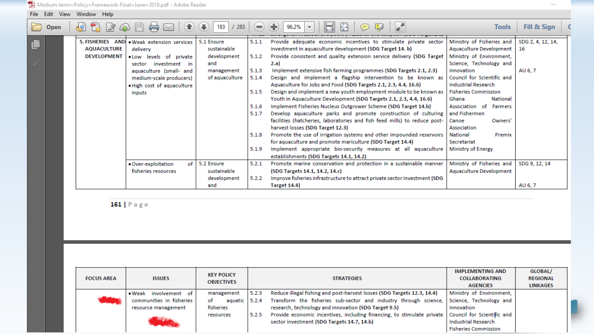#### File Edit View Window Help

| Þ  | <b>Open</b> | - 22 24 25 20      |                                            | 283<br>183     |       | 96.2%<br>⋹                                                                 | <b>Tools</b>                   | Fill & Sign       |
|----|-------------|--------------------|--------------------------------------------|----------------|-------|----------------------------------------------------------------------------|--------------------------------|-------------------|
|    |             |                    | 5. FISHERIES AND . Weak extension services | 5.1 Ensure     | 5.1.1 | Provide adequate economic incentives to stimulate private sector           | Ministry of Fisheries and      | SDG 2, 4, 12, 14, |
|    |             | <b>AQUACULTURE</b> | delivery                                   | sustainable    |       | investment in aquaculture development (SDG Target 14. b)                   | <b>Aquaculture Development</b> | 16                |
|    |             | <b>DEVELOPMENT</b> | . Low levels of private                    | development    | 5.1.2 | Provide consistent and quality extension service delivery (SDG Target      | Ministry of Environment,       |                   |
| O) |             |                    | investment in<br>sector                    | and            |       | 2.a)                                                                       | Science, Technology and        |                   |
|    |             |                    | aquaculture (small- and                    | management     | 5.1.3 | Implement extensive fish farming programmes (SDG Targets 2.1, 2.3)         | Innovation                     | AU 6, 7           |
|    |             |                    | medium-scale producers)                    | of aquaculture | 5.1.4 | Design and implement a flagship intervention to be known as                | Council for Scientific and     |                   |
|    |             |                    | . High cost of aquaculture                 |                |       | Aquaculture for Jobs and Food (SDG Targets 2.1, 2.3, 4.4, 16.6)            | <b>Industrial Research</b>     |                   |
|    |             |                    | inputs                                     |                | 5.1.5 | Design and implement a new youth employment module to be known as          | <b>Fisheries Commission</b>    |                   |
|    |             |                    |                                            |                |       | Youth in Aquaculture Development (SDG Targets 2.1, 2.3, 4.4, 16.6)         | Ghana<br><b>National</b>       |                   |
|    |             |                    |                                            |                | 5.1.6 | Implement Fisheries Nucleus Outgrower Scheme (SDG Target 14.b)             | Association of Farmers         |                   |
|    |             |                    |                                            |                | 5.1.7 | Develop aquaculture parks and promote construction of culturing            | and Fishermen                  |                   |
|    |             |                    |                                            |                |       | facilities (hatcheries, laboratories and fish feed mills) to reduce post-  | Canoe<br>Owners'               |                   |
|    |             |                    |                                            |                |       | harvest losses (SDG Target 12.3)                                           | Association                    |                   |
|    |             |                    |                                            |                | 5.1.8 | Promote the use of irrigation systems and other impounded reservoirs       | National<br>Premix             |                   |
|    |             |                    |                                            |                |       | for aquaculture and promote mariculture (SDG Target 14.4)                  | Secretariat                    |                   |
|    |             |                    |                                            |                | 5.1.9 | Implement appropriate bio-security measures at all aquaculture             | Ministry of Energy             |                   |
|    |             |                    |                                            |                |       | establishments (SDG Targets 14.1, 14.2)                                    |                                |                   |
|    |             |                    | · Over-exploitation                        | of 5.2 Ensure  | 5.2.1 | Promote marine conservation and protection in a sustainable manner         | Ministry of Fisheries and      | SDG 9, 12, 14     |
|    |             |                    | fisheries resources                        | sustainable    |       | (SDG Targets 14.1, 14.2, 14.c)                                             | Aquaculture Development        |                   |
|    |             |                    |                                            | development    | 5.2.2 | Improve fisheries infrastructure to attract private sector investment (SDG |                                |                   |
|    |             |                    |                                            | and            |       | <b>Target 14.4)</b>                                                        |                                | AU 6, 7           |

161 | Page

| <b>FOCUS AREA</b> | <b>ISSUES</b>                                                                       | <b>KEY POLICY</b><br><b>OBJECTIVES</b>                        |                | <b>STRATEGIES</b>                                                                                                                                                                                                                                                             | <b>IMPLEMENTING AND</b><br><b>COLLABORATING</b><br><b>AGENCIES</b>                              | GLOBAL/<br>REGIONAL<br><b>LINKAGES</b> |
|-------------------|-------------------------------------------------------------------------------------|---------------------------------------------------------------|----------------|-------------------------------------------------------------------------------------------------------------------------------------------------------------------------------------------------------------------------------------------------------------------------------|-------------------------------------------------------------------------------------------------|----------------------------------------|
|                   | $\bullet$ Weak<br>involvement of<br>communities in fisheries<br>resource management | management<br>aquatic $5.2.4$<br>οt<br>fisheries<br>resources | 5.2.3<br>5.2.5 | Reduce illegal fishing and post-harvest losses (SDG Targets 12.3, 14.4)<br>Transform the fisheries sub-sector and industry through science,<br>research, technology and innovation (SDG Target 9.5)<br>Provide economic incentives, including financing, to stimulate private | Ministry of Environment,<br>Science, Technology and<br>Innovation<br>Council for Scientific and |                                        |
|                   |                                                                                     |                                                               |                | sector investment (SDG Targets 14.7, 14.b)                                                                                                                                                                                                                                    | <b>Industrial Research</b><br><b>Fisheries Commission</b>                                       |                                        |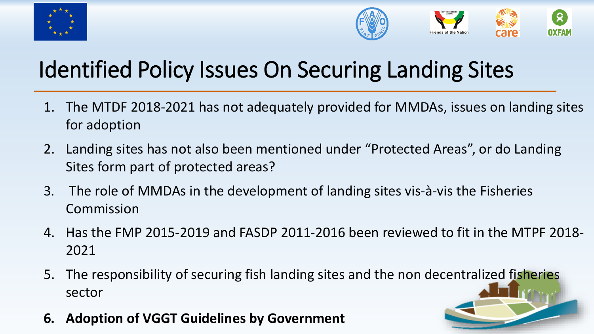



## Identified Policy Issues On Securing Landing Sites

- 1. The MTDF 2018-2021 has not adequately provided for MMDAs, issues on landing sites for adoption
- 2. Landing sites has not also been mentioned under "Protected Areas", or do Landing Sites form part of protected areas?
- 3. The role of MMDAs in the development of landing sites vis-à-vis the Fisheries Commission
- 4. Has the FMP 2015-2019 and FASDP 2011-2016 been reviewed to fit in the MTPF 2018- 2021
- 5. The responsibility of securing fish landing sites and the non decentralized fisheries sector
- **6. Adoption of VGGT Guidelines by Government**